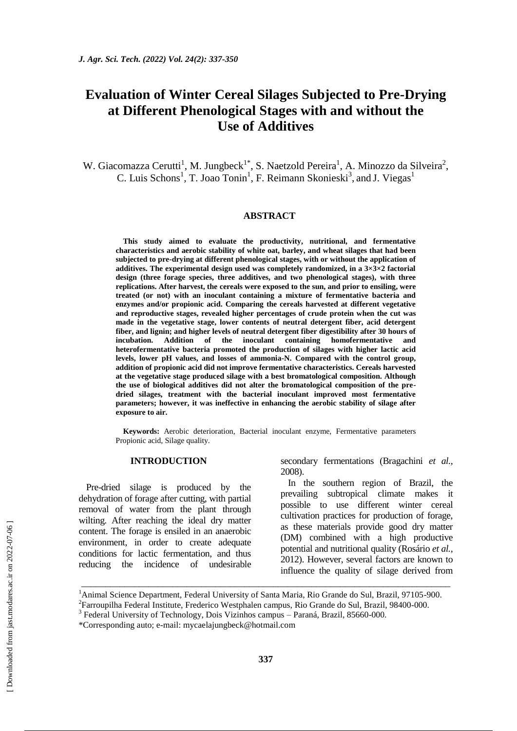# **Evaluation of Winter Cereal Silages Subjected to Pre-Drying at Different Phenological Stages with and without the Use of Additives**

W. Giacomazza Cerutti<sup>1</sup>, M. Jungbeck<sup>1\*</sup>, S. Naetzold Pereira<sup>1</sup>, A. Minozzo da Silveira<sup>2</sup>, C. Luis Schons<sup>1</sup>, T. Joao Tonin<sup>1</sup>, F. Reimann Skonieski<sup>3</sup>, and J. Viegas<sup>1</sup>

#### **ABSTRACT**

**This study aimed to evaluate the productivity, nutritional, and fermentative characteristics and aerobic stability of white oat, barley, and wheat silages that had been subjected to pre-drying at different phenological stages, with or without the application of additives. The experimental design used was completely randomized, in a 3×3×2 factorial design (three forage species, three additives, and two phenological stages), with three replications. After harvest, the cereals were exposed to the sun, and prior to ensiling, were treated (or not) with an inoculant containing a mixture of fermentative bacteria and enzymes and/or propionic acid. Comparing the cereals harvested at different vegetative and reproductive stages, revealed higher percentages of crude protein when the cut was made in the vegetative stage, lower contents of neutral detergent fiber, acid detergent fiber, and lignin; and higher levels of neutral detergent fiber digestibility after 30 hours of incubation. Addition of the inoculant containing homofermentative and heterofermentative bacteria promoted the production of silages with higher lactic acid levels, lower pH values, and losses of ammonia-N. Compared with the control group, addition of propionic acid did not improve fermentative characteristics. Cereals harvested at the vegetative stage produced silage with a best bromatological composition. Although the use of biological additives did not alter the bromatological composition of the predried silages, treatment with the bacterial inoculant improved most fermentative parameters; however, it was ineffective in enhancing the aerobic stability of silage after exposure to air.**

**Keywords:** Aerobic deterioration, Bacterial inoculant enzyme, Fermentative parameters Propionic acid, Silage quality.

#### **INTRODUCTION**

Pre-dried silage is produced by the dehydration of forage after cutting, with partial removal of water from the plant through wilting. After reaching the ideal dry matter content. The forage is ensiled in an anaerobic environment, in order to create adequate conditions for lactic fermentation, and thus reducing the incidence of undesirable secondary fermentations (Bragachini *et al.,* 2008).

In the southern region of Brazil, the prevailing subtropical climate makes it possible to use different winter cereal cultivation practices for production of forage, as these materials provide good dry matter (DM) combined with a high productive potential and nutritional quality (Rosário *et al.,* 2012). However, several factors are known to influence the quality of silage derived from

\_\_\_\_\_\_\_\_\_\_\_\_\_\_\_\_\_\_\_\_\_\_\_\_\_\_\_\_\_\_\_\_\_\_\_\_\_\_\_\_\_\_\_\_\_\_\_\_\_\_\_\_\_\_\_\_\_\_\_\_\_\_\_\_\_\_\_\_\_\_\_\_\_\_\_\_\_

<sup>&</sup>lt;sup>1</sup>Animal Science Department, Federal University of Santa Maria, Rio Grande do Sul, Brazil, 97105-900.

<sup>&</sup>lt;sup>2</sup> Farroupilha Federal Institute, Frederico Westphalen campus, Rio Grande do Sul, Brazil, 98400-000.

<sup>&</sup>lt;sup>3</sup> Federal University of Technology, Dois Vizinhos campus - Paraná, Brazil, 85660-000.

<sup>\*</sup>Corresponding auto; e-mail: [mycaelajungbeck@hotmail.com](mailto:mycaelajungbeck@hotmail.com)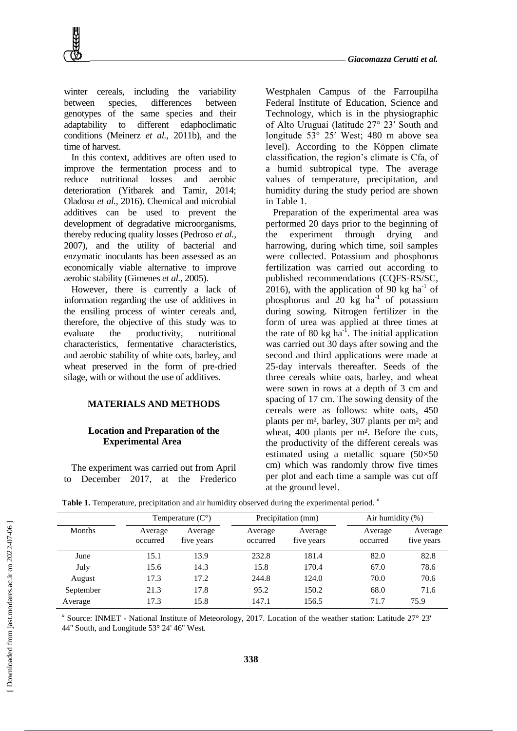winter cereals, including the variability between species, differences between genotypes of the same species and their adaptability to different edaphoclimatic conditions (Meinerz *et al.,* 2011b), and the time of harvest.

In this context, additives are often used to improve the fermentation process and to reduce nutritional losses and aerobic deterioration (Yitbarek and Tamir, 2014; Oladosu *et al.*, 2016). Chemical and microbial additives can be used to prevent the development of degradative microorganisms, thereby reducing quality losses (Pedroso *et al.,* 2007), and the utility of bacterial and enzymatic inoculants has been assessed as an economically viable alternative to improve aerobic stability (Gimenes *et al.,* 2005).

However, there is currently a lack of information regarding the use of additives in the ensiling process of winter cereals and, therefore, the objective of this study was to evaluate the productivity, nutritional characteristics, fermentative characteristics, and aerobic stability of white oats, barley, and wheat preserved in the form of pre-dried silage, with or without the use of additives.

#### **MATERIALS AND METHODS**

# **Location and Preparation of the Experimental Area**

The experiment was carried out from April to December 2017, at the Frederico

Westphalen Campus of the Farroupilha Federal Institute of Education, Science and Technology, which is in the physiographic of Alto Uruguai (latitude 27° 23ʹ South and longitude 53° 25ʹ West; 480 m above sea level). According to the Köppen climate classification, the region's climate is Cfa, of a humid subtropical type. The average values of temperature, precipitation, and humidity during the study period are shown in Table 1.

Preparation of the experimental area was performed 20 days prior to the beginning of the experiment through drying and harrowing, during which time, soil samples were collected. Potassium and phosphorus fertilization was carried out according to published recommendations (CQFS-RS/SC, 2016), with the application of 90 kg ha<sup>-1</sup> of phosphorus and  $\overline{20}$  kg ha<sup>-1</sup> of potassium during sowing. Nitrogen fertilizer in the form of urea was applied at three times at the rate of 80 kg ha<sup>-1</sup>. The initial application was carried out 30 days after sowing and the second and third applications were made at 25-day intervals thereafter. Seeds of the three cereals white oats, barley, and wheat were sown in rows at a depth of 3 cm and spacing of 17 cm. The sowing density of the cereals were as follows: white oats, 450 plants per m², barley, 307 plants per m²; and wheat, 400 plants per m². Before the cuts, the productivity of the different cereals was estimated using a metallic square (50×50 cm) which was randomly throw five times per plot and each time a sample was cut off at the ground level.

|               |                     | Temperature $(C^{\circ})$ |                     | Precipitation (mm)    | Air humidity $(\%)$ |                       |  |
|---------------|---------------------|---------------------------|---------------------|-----------------------|---------------------|-----------------------|--|
| <b>Months</b> | Average<br>occurred | Average<br>five years     | Average<br>occurred | Average<br>five years | Average<br>occurred | Average<br>five years |  |
| June          | 15.1                | 13.9                      | 232.8               | 181.4                 | 82.0                | 82.8                  |  |
| July          | 15.6                | 14.3                      | 15.8                | 170.4                 | 67.0                | 78.6                  |  |
| August        | 17.3                | 17.2                      | 244.8               | 124.0                 | 70.0                | 70.6                  |  |
| September     | 21.3                | 17.8                      | 95.2                | 150.2                 | 68.0                | 71.6                  |  |
| Average       | 17.3                | 15.8                      | 147.1               | 156.5                 | 71.7                | 75.9                  |  |

**Table 1.** Temperature, precipitation and air humidity observed during the experimental period. *<sup>a</sup>*

<sup>a</sup> Source: INMET - National Institute of Meteorology, 2017. Location of the weather station: Latitude 27° 23' 44'' South, and Longitude 53° 24' 46'' West.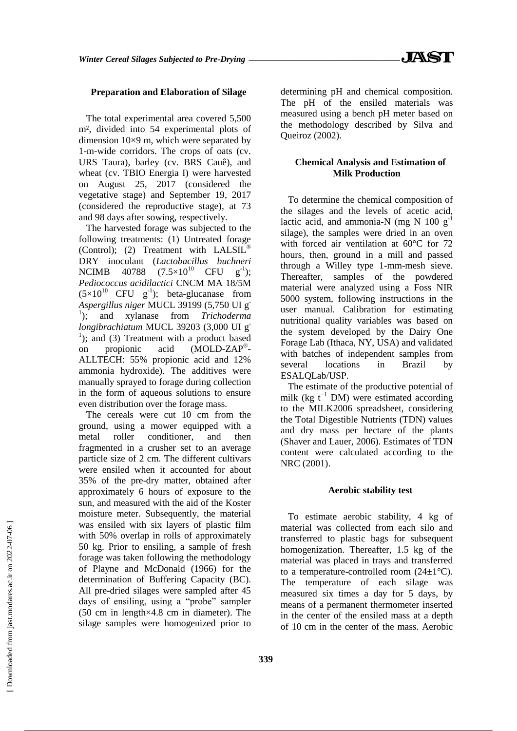# **Preparation and Elaboration of Silage**

The total experimental area covered 5,500 m², divided into 54 experimental plots of dimension 10×9 m, which were separated by 1-m-wide corridors. The crops of oats (cv. URS Taura), barley (cv. BRS Cauê), and wheat (cv. TBIO Energia I) were harvested on August 25, 2017 (considered the vegetative stage) and September 19, 2017 (considered the reproductive stage), at 73 and 98 days after sowing, respectively.

The harvested forage was subjected to the following treatments: (1) Untreated forage (Control); (2) Treatment with  $LALSIL<sup>0</sup>$ DRY inoculant (*Lactobacillus buchneri* NCIMB 40788  $(7.5 \times 10^{10} \text{ CFU g}^{-1})$ ; *Pediococcus acidilactici* CNCM MA 18/5M  $(5\times10^{10} \text{ CFU g}^{-1})$ ; beta-glucanase from *Aspergillus niger* MUCL 39199 (5,750 UI g-<sup>1</sup>); and xylanase from *Trichoderma longibrachiatum* MUCL 39203 (3,000 UI g-<sup>1</sup>); and (3) Treatment with a product based on propionic acid (MOLD-ZAP® - ALLTECH: 55% propionic acid and 12% ammonia hydroxide). The additives were manually sprayed to forage during collection in the form of aqueous solutions to ensure even distribution over the forage mass.

The cereals were cut 10 cm from the ground, using a mower equipped with a metal roller conditioner, and then fragmented in a crusher set to an average particle size of 2 cm. The different cultivars were ensiled when it accounted for about 35% of the pre-dry matter, obtained after approximately 6 hours of exposure to the sun, and measured with the aid of the Koster moisture meter. Subsequently, the material was ensiled with six layers of plastic film with 50% overlap in rolls of approximately 50 kg. Prior to ensiling, a sample of fresh forage was taken following the methodology of Playne and McDonald (1966) for the determination of Buffering Capacity (BC). All pre-dried silages were sampled after 45 days of ensiling, using a "probe" sampler (50 cm in length×4.8 cm in diameter). The silage samples were homogenized prior to

determining pH and chemical composition. The pH of the ensiled materials was measured using a bench pH meter based on the methodology described by Silva and Queiroz (2002).

# **Chemical Analysis and Estimation of Milk Production**

To determine the chemical composition of the silages and the levels of acetic acid, lactic acid, and ammonia-N (mg N  $100 \text{ g}^{-1}$ ) silage), the samples were dried in an oven with forced air ventilation at 60°C for 72 hours, then, ground in a mill and passed through a Willey type 1-mm-mesh sieve. Thereafter, samples of the powdered material were analyzed using a Foss NIR 5000 system, following instructions in the user manual. Calibration for estimating nutritional quality variables was based on the system developed by the Dairy One Forage Lab (Ithaca, NY, USA) and validated with batches of independent samples from several locations in Brazil by ESALQLab/USP.

The estimate of the productive potential of milk (kg  $t^{-1}$  DM) were estimated according to the MILK2006 spreadsheet, considering the Total Digestible Nutrients (TDN) values and dry mass per hectare of the plants (Shaver and Lauer, 2006). Estimates of TDN content were calculated according to the NRC (2001).

#### **Aerobic stability test**

To estimate aerobic stability, 4 kg of material was collected from each silo and transferred to plastic bags for subsequent homogenization. Thereafter, 1.5 kg of the material was placed in trays and transferred to a temperature-controlled room  $(24\pm1\,^{\circ}\mathrm{C}).$ The temperature of each silage was measured six times a day for 5 days, by means of a permanent thermometer inserted in the center of the ensiled mass at a depth of 10 cm in the center of the mass. Aerobic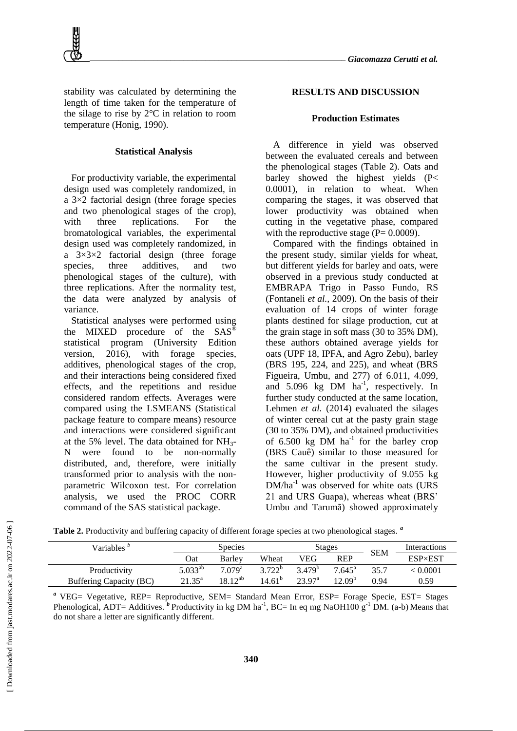stability was calculated by determining the length of time taken for the temperature of the silage to rise by 2°C in relation to room temperature (Honig, 1990).

## **Statistical Analysis**

For productivity variable, the experimental design used was completely randomized, in a 3×2 factorial design (three forage species and two phenological stages of the crop), with three replications. For the bromatological variables, the experimental design used was completely randomized, in a 3×3×2 factorial design (three forage species, three additives, and two phenological stages of the culture), with three replications. After the normality test, the data were analyzed by analysis of variance.

Statistical analyses were performed using the MIXED procedure of the SAS<sup>®</sup> statistical program (University Edition version, 2016), with forage species, additives, phenological stages of the crop, and their interactions being considered fixed effects, and the repetitions and residue considered random effects. Averages were compared using the LSMEANS (Statistical package feature to compare means) resource and interactions were considered significant at the 5% level. The data obtained for  $NH_3$ -N were found to be non-normally distributed, and, therefore, were initially transformed prior to analysis with the nonparametric Wilcoxon test. For correlation analysis, we used the PROC CORR command of the SAS statistical package.

## **RESULTS AND DISCUSSION**

#### **Production Estimates**

A difference in yield was observed between the evaluated cereals and between the phenological stages (Table 2). Oats and barley showed the highest yields (P< 0.0001), in relation to wheat. When comparing the stages, it was observed that lower productivity was obtained when cutting in the vegetative phase, compared with the reproductive stage  $(P= 0.0009)$ .

Compared with the findings obtained in the present study, similar yields for wheat, but different yields for barley and oats, were observed in a previous study conducted at EMBRAPA Trigo in Passo Fundo, RS (Fontaneli *et al.,* 2009). On the basis of their evaluation of 14 crops of winter forage plants destined for silage production, cut at the grain stage in soft mass (30 to 35% DM), these authors obtained average yields for oats (UPF 18, IPFA, and Agro Zebu), barley (BRS 195, 224, and 225), and wheat (BRS Figueira, Umbu, and 277) of 6.011, 4.099, and 5.096 kg DM ha<sup>-1</sup>, respectively. In further study conducted at the same location, Lehmen *et al.* (2014) evaluated the silages of winter cereal cut at the pasty grain stage (30 to 35% DM), and obtained productivities of  $6.500 \text{ kg}$  DM ha<sup>-1</sup> for the barley crop (BRS Cauê) similar to those measured for the same cultivar in the present study. However, higher productivity of 9.055 kg  $DM/ha^{-1}$  was observed for white oats (URS 21 and URS Guapa), whereas wheat (BRS' Umbu and Tarumã) showed approximately

**Table 2.** Productivity and buffering capacity of different forage species at two phenological stages. *<sup>a</sup>*

| Variables $\overline{b}$ | <b>Species</b>  |                       |                    |                    | <b>Stages</b>   | <b>SEM</b> | Interactions   |
|--------------------------|-----------------|-----------------------|--------------------|--------------------|-----------------|------------|----------------|
|                          | Oat             | Barlev                | Wheat              | VEG                | <b>REP</b>      |            | <b>ESP×EST</b> |
| Productivity             | $5.033^{ab}$    | $7.079$ <sup>a</sup>  | $3722^b$           | $3.479^{b}$        | $7.645^{\circ}$ | 35.7       | < 0.0001       |
| Buffering Capacity (BC)  | $21.35^{\circ}$ | $18 \frac{1}{2}^{ab}$ | 14.61 <sup>b</sup> | 23.97 <sup>a</sup> | $12.09^{b}$     | 0.94       | 0.59           |

<sup>a</sup> VEG= Vegetative, REP= Reproductive, SEM= Standard Mean Error, ESP= Forage Specie, EST= Stages Phenological, ADT= Additives.<sup>3</sup> Productivity in kg DM ha<sup>-1</sup>, BC= In eq mg NaOH100 g<sup>-1</sup> DM. (a-b) Means that do not share a letter are significantly different.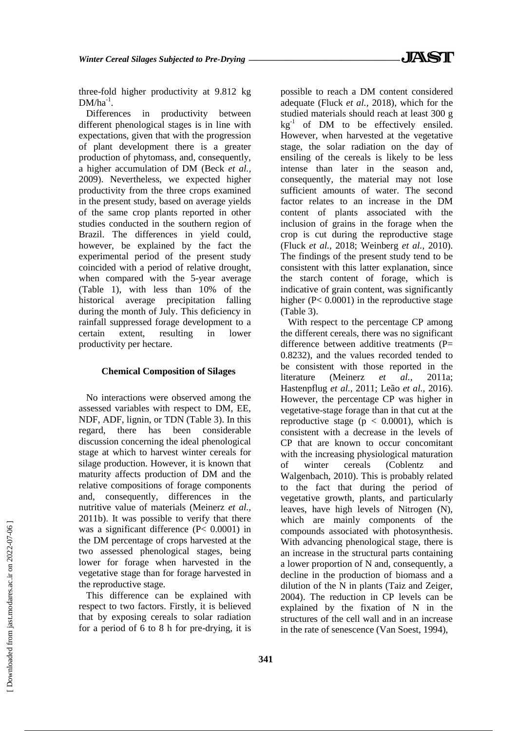three-fold higher productivity at 9.812 kg  $DM/ha^{-1}$ .

Differences in productivity between different phenological stages is in line with expectations, given that with the progression of plant development there is a greater production of phytomass, and, consequently, a higher accumulation of DM (Beck *et al.,* 2009). Nevertheless, we expected higher productivity from the three crops examined in the present study, based on average yields of the same crop plants reported in other studies conducted in the southern region of Brazil. The differences in yield could, however, be explained by the fact the experimental period of the present study coincided with a period of relative drought, when compared with the 5-year average (Table 1), with less than 10% of the historical average precipitation falling during the month of July. This deficiency in rainfall suppressed forage development to a certain extent, resulting in lower productivity per hectare.

## **Chemical Composition of Silages**

No interactions were observed among the assessed variables with respect to DM, EE, NDF, ADF, lignin, or TDN (Table 3). In this regard, there has been considerable discussion concerning the ideal phenological stage at which to harvest winter cereals for silage production. However, it is known that maturity affects production of DM and the relative compositions of forage components and, consequently, differences in the nutritive value of materials (Meinerz *et al.,* 2011b). It was possible to verify that there was a significant difference (P< 0.0001) in the DM percentage of crops harvested at the two assessed phenological stages, being lower for forage when harvested in the vegetative stage than for forage harvested in the reproductive stage.

This difference can be explained with respect to two factors. Firstly, it is believed that by exposing cereals to solar radiation for a period of 6 to 8 h for pre-drying, it is possible to reach a DM content considered adequate (Fluck *et al.,* 2018), which for the studied materials should reach at least 300 g  $kg^{-1}$  of DM to be effectively ensiled. However, when harvested at the vegetative stage, the solar radiation on the day of ensiling of the cereals is likely to be less intense than later in the season and, consequently, the material may not lose sufficient amounts of water. The second factor relates to an increase in the DM content of plants associated with the inclusion of grains in the forage when the crop is cut during the reproductive stage (Fluck *et al.,* 2018; Weinberg *et al.,* 2010). The findings of the present study tend to be consistent with this latter explanation, since the starch content of forage, which is indicative of grain content, was significantly higher (P< 0.0001) in the reproductive stage (Table 3).

With respect to the percentage CP among the different cereals, there was no significant difference between additive treatments (P= 0.8232), and the values recorded tended to be consistent with those reported in the literature (Meinerz *et al.,* 2011a; Hastenpflug *et al.,* 2011; Leão *et al.,* 2016). However, the percentage CP was higher in vegetative-stage forage than in that cut at the reproductive stage ( $p < 0.0001$ ), which is consistent with a decrease in the levels of CP that are known to occur concomitant with the increasing physiological maturation of winter cereals (Coblentz and Walgenbach, 2010). This is probably related to the fact that during the period of vegetative growth, plants, and particularly leaves, have high levels of Nitrogen (N), which are mainly components of the compounds associated with photosynthesis. With advancing phenological stage, there is an increase in the structural parts containing a lower proportion of N and, consequently, a decline in the production of biomass and a dilution of the N in plants (Taiz and Zeiger, 2004). The reduction in CP levels can be explained by the fixation of N in the structures of the cell wall and in an increase in the rate of senescence (Van Soest, 1994),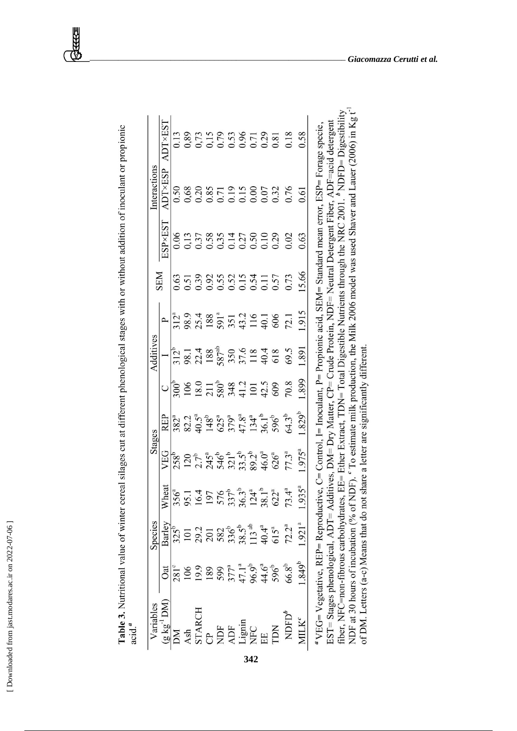| ۱<br>Ï<br>١<br>ï<br>ı<br>¢<br>ì<br>Į<br>t |
|-------------------------------------------|
| is can<br>l                               |
| ï                                         |

| í                               |       |
|---------------------------------|-------|
| ddition of incoulant or propior |       |
|                                 |       |
|                                 |       |
|                                 |       |
|                                 |       |
|                                 |       |
|                                 |       |
|                                 |       |
|                                 |       |
|                                 |       |
|                                 |       |
| <b>A</b> 0.4 11111 0.4 0.4      |       |
|                                 |       |
|                                 |       |
|                                 |       |
| $\frac{1}{2}$                   |       |
|                                 | j     |
|                                 |       |
|                                 |       |
|                                 |       |
|                                 |       |
| $+$ different manologies etal.  |       |
|                                 |       |
|                                 |       |
| $\ddotsc$                       |       |
| wwwww.uu uu                     |       |
| etro senel cilentaries          |       |
|                                 |       |
| l<br>١                          |       |
|                                 |       |
|                                 |       |
|                                 |       |
|                                 |       |
|                                 |       |
|                                 |       |
|                                 |       |
|                                 |       |
|                                 |       |
|                                 |       |
|                                 |       |
|                                 |       |
|                                 |       |
| $\cdot$ .                       |       |
| ۔<br>ا                          | acıd. |
|                                 |       |

|             | ADT×EST                       |  |  |  |  |                                                                                                                           |                                                                                                                                                                                                                                                                                                                                                                                     |                             |                                                                                                                           |
|-------------|-------------------------------|--|--|--|--|---------------------------------------------------------------------------------------------------------------------------|-------------------------------------------------------------------------------------------------------------------------------------------------------------------------------------------------------------------------------------------------------------------------------------------------------------------------------------------------------------------------------------|-----------------------------|---------------------------------------------------------------------------------------------------------------------------|
| nteractions | $\overline{\text{DT}}$ ×ESP   |  |  |  |  |                                                                                                                           |                                                                                                                                                                                                                                                                                                                                                                                     |                             |                                                                                                                           |
|             | ESP×EST                       |  |  |  |  |                                                                                                                           | $0.5758347720000000000000$                                                                                                                                                                                                                                                                                                                                                          |                             |                                                                                                                           |
| <b>NEN</b>  |                               |  |  |  |  |                                                                                                                           | 65<br>65885845555<br>65865555556                                                                                                                                                                                                                                                                                                                                                    |                             |                                                                                                                           |
|             |                               |  |  |  |  |                                                                                                                           | $\frac{1}{312}$<br>$\frac{3}{25}$<br>$\frac{3}{55}$<br>$\frac{3}{55}$<br>$\frac{1}{35}$<br>$\frac{3}{45}$<br>$\frac{1}{45}$<br>$\frac{1}{45}$<br>$\frac{1}{65}$<br>$\frac{1}{65}$<br>$\frac{1}{12}$                                                                                                                                                                                 | 1.915                       |                                                                                                                           |
| dditives    |                               |  |  |  |  |                                                                                                                           | $\begin{array}{c} 312^{\circ} \\ 38.1 \\ 28.4 \\ 188 \\ 587^{\circ\circ} \\ 587^{\circ\circ} \\ 59.5 \\ 35.0 \\ 57.1 \\ 40.4 \\ 60.5 \\ 69.5 \\ \end{array}$                                                                                                                                                                                                                        | 1.891                       |                                                                                                                           |
|             |                               |  |  |  |  |                                                                                                                           | $\frac{16}{100}$ $\frac{16}{100}$ $\frac{17}{100}$ $\frac{17}{100}$ $\frac{17}{100}$ $\frac{17}{100}$ $\frac{17}{100}$ $\frac{17}{100}$ $\frac{17}{100}$ $\frac{17}{100}$ $\frac{17}{100}$ $\frac{17}{100}$ $\frac{17}{100}$ $\frac{17}{100}$ $\frac{17}{100}$ $\frac{17}{100}$ $\frac{17}{100}$                                                                                    | .899                        |                                                                                                                           |
|             | REP                           |  |  |  |  |                                                                                                                           | $\begin{array}{l} 382^{\circ} \\ 382.7 \\ 245^{\circ} \\ 475^{\circ} \\ 59^{\circ} \\ 69^{\circ} \\ 775^{\circ} \\ 79^{\circ} \\ 84^{\circ} \\ 195^{\circ} \\ 195^{\circ} \\ 195^{\circ} \\ 195^{\circ} \\ 195^{\circ} \\ 195^{\circ} \\ 195^{\circ} \\ 195^{\circ} \\ 195^{\circ} \\ 195^{\circ} \\ 195^{\circ} \\ 195^{\circ} \\ 195^{\circ} \\ 195^{\circ} \\ 195^{\circ} \\ 19$ |                             |                                                                                                                           |
| Stages      | VEG                           |  |  |  |  |                                                                                                                           | $\frac{138}{120}$<br>$\frac{120}{127}$ $\frac{1}{45}$ $\frac{1}{46}$ $\frac{1}{45}$ $\frac{1}{12}$ $\frac{1}{12}$ $\frac{1}{12}$ $\frac{1}{12}$ $\frac{1}{12}$ $\frac{1}{12}$ $\frac{1}{12}$ $\frac{1}{12}$ $\frac{1}{12}$ $\frac{1}{12}$ $\frac{1}{12}$ $\frac{1}{12}$ $\frac{1}{12}$ $\frac{1}{12}$ $\frac{1$                                                                     | $.975^{a}$                  |                                                                                                                           |
|             | Wheat                         |  |  |  |  | $356^{\circ}$<br>$16.1$<br>$16.7$<br>$197$<br>$576$<br>$579^{\circ}$<br>$512^{\circ}$<br>$58.1^{\circ}$<br>$58.1^{\circ}$ |                                                                                                                                                                                                                                                                                                                                                                                     | $.935^{a}$                  |                                                                                                                           |
| Species     | Barley                        |  |  |  |  |                                                                                                                           | $3256$<br>$1013$<br>$2013$<br>$3825$<br>$3835$<br>$38113$<br>$414$<br>$45$<br>$522$                                                                                                                                                                                                                                                                                                 | $1.921^{a}$                 |                                                                                                                           |
|             | Оät                           |  |  |  |  |                                                                                                                           | $\begin{array}{l} 281^{\circ} \\ 2195 \\ 1993 \\ 2399 \\ 377^{\circ} \\ 11^{\circ} \\ 965 \\ 990 \\ 11^{\circ} \\ 11^{\circ} \\ 965 \\ 968 \\ 968 \\ \end{array}$                                                                                                                                                                                                                   | $1.849^{b}$                 |                                                                                                                           |
|             | Variables<br>$(g kg^{-1} DM)$ |  |  |  |  |                                                                                                                           |                                                                                                                                                                                                                                                                                                                                                                                     | $\underline{\text{MILK}}^c$ | "VEG=Vegetative, REP=Reproductive, C=Control. I=Inoculant, P= Propionic acid. SEM=Standard mean error, ESP=Forage specie. |

fiber, NFC=non-fibrous carbohydrates, EE= Ether Extract, TDN= Total Digestible Nutrients through the NRC 2001. <sup>b</sup> NDFD= Digestibility<br>NDF at 30 hours of incubation (% of NDF). <sup>c</sup> To estimate milk production, the Milk 20 , 2018 - Σεναιντ, 2018 - Ανρησιατικής στουμού, 2. Ποσταμικής του Προσπάτιος Στους Σαμπάτι πολιτικός τους δροσκ<br>ΕST= Stages phenological, ADT= Additives, DM= Dry Matter, CP= Crude Protein, NDF= Neutral Detergent Fiber, ADF of DM. Letters (a-c) Means that do not share a letter are significantly different.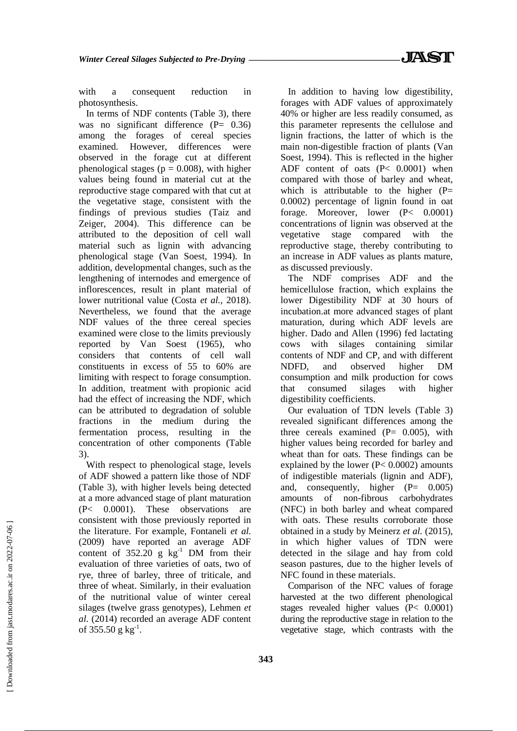with a consequent reduction in photosynthesis.

In terms of NDF contents (Table 3), there was no significant difference (P= 0.36) among the forages of cereal species examined. However, differences were observed in the forage cut at different phenological stages ( $p = 0.008$ ), with higher values being found in material cut at the reproductive stage compared with that cut at the vegetative stage, consistent with the findings of previous studies (Taiz and Zeiger, 2004). This difference can be attributed to the deposition of cell wall material such as lignin with advancing phenological stage (Van Soest, 1994). In addition, developmental changes, such as the lengthening of internodes and emergence of inflorescences, result in plant material of lower nutritional value (Costa *et al.,* 2018). Nevertheless, we found that the average NDF values of the three cereal species examined were close to the limits previously reported by Van Soest (1965), who considers that contents of cell wall constituents in excess of 55 to 60% are limiting with respect to forage consumption. In addition, treatment with propionic acid had the effect of increasing the NDF, which can be attributed to degradation of soluble fractions in the medium during the fermentation process, resulting in the concentration of other components (Table 3).

With respect to phenological stage, levels of ADF showed a pattern like those of NDF (Table 3), with higher levels being detected at a more advanced stage of plant maturation (P< 0.0001). These observations are consistent with those previously reported in the literature. For example, Fontaneli *et al.* (2009) have reported an average ADF content of  $352.20 \text{ g kg}^{-1}$  DM from their evaluation of three varieties of oats, two of rye, three of barley, three of triticale, and three of wheat. Similarly, in their evaluation of the nutritional value of winter cereal silages (twelve grass genotypes), Lehmen *et al.* (2014) recorded an average ADF content of  $355.50 \text{ g kg}^{-1}$ .

In addition to having low digestibility, forages with ADF values of approximately 40% or higher are less readily consumed, as this parameter represents the cellulose and lignin fractions, the latter of which is the main non-digestible fraction of plants (Van Soest, 1994). This is reflected in the higher ADF content of oats (P< 0.0001) when compared with those of barley and wheat, which is attributable to the higher  $(P=$ 0.0002) percentage of lignin found in oat forage. Moreover, lower (P< 0.0001) concentrations of lignin was observed at the vegetative stage compared with the reproductive stage, thereby contributing to an increase in ADF values as plants mature, as discussed previously.

The NDF comprises ADF and the hemicellulose fraction, which explains the lower Digestibility NDF at 30 hours of incubation.at more advanced stages of plant maturation, during which ADF levels are higher. Dado and Allen (1996) fed lactating cows with silages containing similar contents of NDF and CP, and with different NDFD, and observed higher DM consumption and milk production for cows that consumed silages with higher digestibility coefficients.

Our evaluation of TDN levels (Table 3) revealed significant differences among the three cereals examined  $(P= 0.005)$ , with higher values being recorded for barley and wheat than for oats. These findings can be explained by the lower (P< 0.0002) amounts of indigestible materials (lignin and ADF), and, consequently, higher  $(P= 0.005)$ amounts of non-fibrous carbohydrates (NFC) in both barley and wheat compared with oats. These results corroborate those obtained in a study by Meinerz *et al.* (2015), in which higher values of TDN were detected in the silage and hay from cold season pastures, due to the higher levels of NFC found in these materials.

Comparison of the NFC values of forage harvested at the two different phenological stages revealed higher values (P< 0.0001) during the reproductive stage in relation to the vegetative stage, which contrasts with the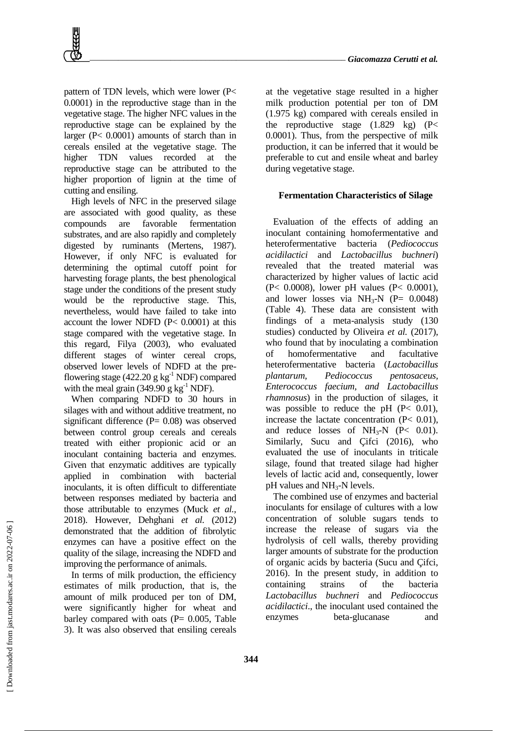

pattern of TDN levels, which were lower (P< 0.0001) in the reproductive stage than in the vegetative stage. The higher NFC values in the reproductive stage can be explained by the larger (P< 0.0001) amounts of starch than in cereals ensiled at the vegetative stage. The higher TDN values recorded at the reproductive stage can be attributed to the higher proportion of lignin at the time of cutting and ensiling.

High levels of NFC in the preserved silage are associated with good quality, as these compounds are favorable fermentation substrates, and are also rapidly and completely digested by ruminants (Mertens, 1987). However, if only NFC is evaluated for determining the optimal cutoff point for harvesting forage plants, the best phenological stage under the conditions of the present study would be the reproductive stage. This, nevertheless, would have failed to take into account the lower NDFD (P< 0.0001) at this stage compared with the vegetative stage. In this regard, Filya (2003), who evaluated different stages of winter cereal crops, observed lower levels of NDFD at the preflowering stage (422.20 g  $kg^{-1}$  NDF) compared with the meal grain (349.90 g kg<sup>-1</sup> NDF).

When comparing NDFD to 30 hours in silages with and without additive treatment, no significant difference (P= 0.08) was observed between control group cereals and cereals treated with either propionic acid or an inoculant containing bacteria and enzymes. Given that enzymatic additives are typically applied in combination with bacterial inoculants, it is often difficult to differentiate between responses mediated by bacteria and those attributable to enzymes (Muck *et al.,* 2018). However, Dehghani *et al.* (2012) demonstrated that the addition of fibrolytic enzymes can have a positive effect on the quality of the silage, increasing the NDFD and improving the performance of animals.

In terms of milk production, the efficiency estimates of milk production, that is, the amount of milk produced per ton of DM, were significantly higher for wheat and barley compared with oats  $(P= 0.005,$  Table 3). It was also observed that ensiling cereals

at the vegetative stage resulted in a higher milk production potential per ton of DM (1.975 kg) compared with cereals ensiled in the reproductive stage  $(1.829 \text{ kg})$   $(P<$ 0.0001). Thus, from the perspective of milk production, it can be inferred that it would be preferable to cut and ensile wheat and barley during vegetative stage.

## **Fermentation Characteristics of Silage**

Evaluation of the effects of adding an inoculant containing homofermentative and heterofermentative bacteria (*Pediococcus acidilactici* and *Lactobacillus buchneri*) revealed that the treated material was characterized by higher values of lactic acid (P< 0.0008), lower pH values (P< 0.0001), and lower losses via  $NH<sub>3</sub>-N$  (P= 0.0048) (Table 4). These data are consistent with findings of a meta-analysis study (130 studies) conducted by Oliveira *et al.* (2017), who found that by inoculating a combination of homofermentative and facultative heterofermentative bacteria (*Lactobacillus plantarum, Pediococcus pentosaceus, Enterococcus faecium, and Lactobacillus rhamnosus*) in the production of silages, it was possible to reduce the pH  $(P< 0.01)$ , increase the lactate concentration (P< 0.01), and reduce losses of  $NH<sub>3</sub>-N$  (P< 0.01). Similarly, Sucu and Çifci (2016), who evaluated the use of inoculants in triticale silage, found that treated silage had higher levels of lactic acid and, consequently, lower pH values and NH3-N levels.

The combined use of enzymes and bacterial inoculants for ensilage of cultures with a low concentration of soluble sugars tends to increase the release of sugars via the hydrolysis of cell walls, thereby providing larger amounts of substrate for the production of organic acids by bacteria (Sucu and Çifci, 2016). In the present study, in addition to containing strains of the bacteria *Lactobacillus buchneri* and *Pediococcus acidilactici*., the inoculant used contained the enzymes beta-glucanase and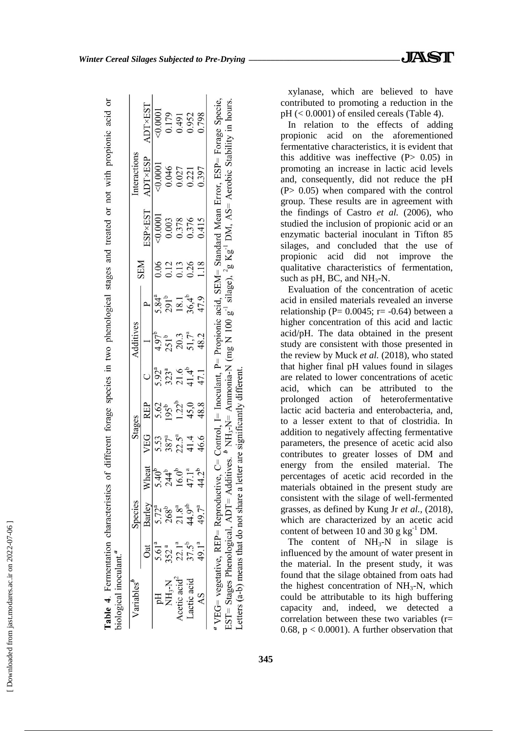| ۱                                                                   |
|---------------------------------------------------------------------|
| J                                                                   |
|                                                                     |
| ī                                                                   |
| ı                                                                   |
| ¢<br>l                                                              |
|                                                                     |
| ¢                                                                   |
| j                                                                   |
| l                                                                   |
| ֧֧֧֧֧֧֧֧֧֧֧֦֧֧֧֧֛֧֧֚֚֚֚֚֚֚֚֚֚֚֚֚֚֚֚֚֚֝֝֓֕֝֓֝֓֝֓֝֬֝֓֝֬֝֓֝֬֜֝֬֝֬֜֝֬֝֬ |
| $\ddotsc$                                                           |
|                                                                     |
|                                                                     |
|                                                                     |
|                                                                     |
|                                                                     |
|                                                                     |
| j                                                                   |
|                                                                     |
|                                                                     |
|                                                                     |
|                                                                     |
|                                                                     |
| l                                                                   |
| i                                                                   |
| l                                                                   |
|                                                                     |
|                                                                     |
|                                                                     |
|                                                                     |
|                                                                     |
|                                                                     |
|                                                                     |
|                                                                     |
|                                                                     |
|                                                                     |
|                                                                     |
| l                                                                   |

|                                                      | Species                       | Stages                                |                          |                                                                     | Additives                           |                              |            |                         | nteractions                     |                                  |
|------------------------------------------------------|-------------------------------|---------------------------------------|--------------------------|---------------------------------------------------------------------|-------------------------------------|------------------------------|------------|-------------------------|---------------------------------|----------------------------------|
| Barley<br>$\overline{\text{at}}$                     | heat                          | VEG                                   | <b>REP</b>               |                                                                     |                                     |                              | <b>NHS</b> | ESP×EST                 | ADT×ESP                         | ADT×EST                          |
| $5.72^{a}$<br>$5.61^{a}$                             |                               |                                       |                          |                                                                     | $4.97^{b}$                          |                              | 0.06       | $-0.0001$               |                                 | 0.0001                           |
| $268^b$<br>352 <sup>a</sup><br>NH <sub>3</sub> -N    | $.40^{b}$<br>244 <sup>b</sup> |                                       | 5.62<br>195 <sup>t</sup> |                                                                     | $251^{b}$                           | $5.84^a$<br>291 <sup>b</sup> | 0.12       |                         |                                 |                                  |
| $21.8^{a}$<br>$22.1^{a}$<br>Acetic acid <sup>2</sup> | $16.0^{b}$                    | $5.53$<br>$387^a$<br>$21.4$<br>$46.6$ | $1.22^{b}$               | $5.92^{\degree}$<br>$3.23^{\degree}$<br>$3.214^{\degree}$<br>$47.1$ |                                     |                              | 0.13       | 0.003<br>0.378<br>0.376 | $-0.0001$<br>$0.046$<br>$0.027$ | 0.179<br>0.491<br>0.952<br>0.798 |
| 44.9 <sup>ab</sup><br>$37.5^{b}$<br>Lactic acid      |                               |                                       | 45,0                     |                                                                     | $20.3$<br>51,7 <sup>a</sup><br>48.2 | $\frac{18.1}{36.4^b}$        | 0.26       |                         | 0.221                           |                                  |
| 49.7 <sup>a</sup><br>49.1ª<br>$\overline{A}S$        | 2 <sup>b</sup>                |                                       | 48.8                     |                                                                     |                                     |                              | 1.18       | 0.415                   | 0.397                           |                                  |

xylanase, which are believed to have contributed to promoting a reduction in the  $pH \leq 0.0001$  of ensiled cereals (Table 4).

In relation to the effects of adding propionic acid on the aforementioned fermentative characteristics, it is evident that this additive was ineffective  $(P> 0.05)$  in promoting an increase in lactic acid levels and, consequently, did not reduce the pH (P> 0.05) when compared with the control group. These results are in agreement with the findings of Castro *et al.* (2006), who studied the inclusion of propionic acid or an enzymatic bacterial inoculant in Tifton 85 silages, and concluded that the use of propionic acid did not improve the qualitative characteristics of fermentation, such as pH, BC, and  $NH<sub>3</sub>-N$ .

Evaluation of the concentration of acetic acid in ensiled materials revealed an inverse relationship ( $P = 0.0045$ ; r= -0.64) between a higher concentration of this acid and lactic acid/pH. The data obtained in the present study are consistent with those presented in the review by Muck *et al.* (2018), who stated that higher final pH values found in silages are related to lower concentrations of acetic acid, which can be attributed to the prolonged action of heterofermentative lactic acid bacteria and enterobacteria, and, to a lesser extent to that of clostridia. In addition to negatively affecting fermentative parameters, the presence of acetic acid also contributes to greater losses of DM and energy from the ensiled material. The percentages of acetic acid recorded in the materials obtained in the present study are consistent with the silage of well-fermented grasses, as defined by Kung Jr *et al.,* (2018), which are characterized by an acetic acid content of between 10 and 30 g  $kg^{-1}$  DM.

The content of  $NH_3-N$  in silage is influenced by the amount of water present in the material. In the present study, it was found that the silage obtained from oats had the highest concentration of  $NH<sub>3</sub>-N$ , which could be attributable to its high buffering capacity and, indeed, we detected a correlation between these two variables (r= 0.68,  $p < 0.0001$ ). A further observation that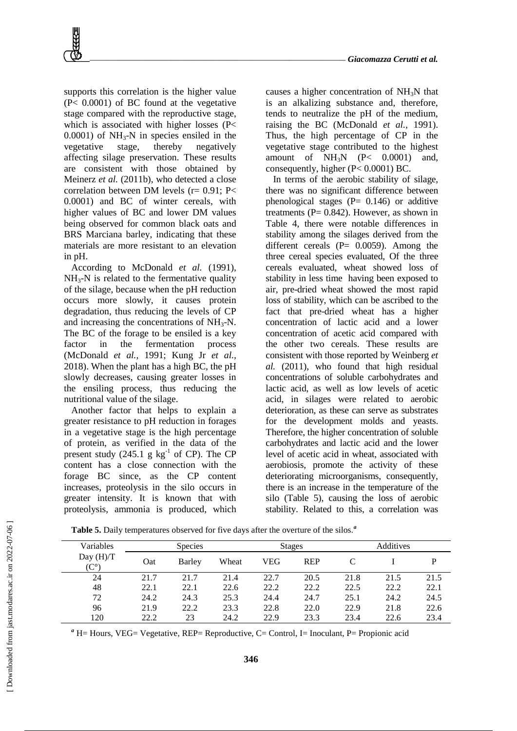supports this correlation is the higher value (P< 0.0001) of BC found at the vegetative stage compared with the reproductive stage, which is associated with higher losses (P<  $0.0001$ ) of NH<sub>3</sub>-N in species ensiled in the vegetative stage, thereby negatively affecting silage preservation. These results are consistent with those obtained by Meinerz *et al.* (2011b), who detected a close correlation between DM levels (r= 0.91; P< 0.0001) and BC of winter cereals, with higher values of BC and lower DM values being observed for common black oats and BRS Marciana barley, indicating that these materials are more resistant to an elevation in pH.

According to McDonald *et al.* (1991),  $NH<sub>3</sub>-N$  is related to the fermentative quality of the silage, because when the pH reduction occurs more slowly, it causes protein degradation, thus reducing the levels of CP and increasing the concentrations of  $NH<sub>3</sub>-N$ . The BC of the forage to be ensiled is a key factor in the fermentation process (McDonald *et al.,* 1991; Kung Jr *et al.,* 2018). When the plant has a high BC, the pH slowly decreases, causing greater losses in the ensiling process, thus reducing the nutritional value of the silage.

Another factor that helps to explain a greater resistance to pH reduction in forages in a vegetative stage is the high percentage of protein, as verified in the data of the present study  $(245.1 \text{ g kg}^{-1} \text{ of CP})$ . The CP content has a close connection with the forage BC since, as the CP content increases, proteolysis in the silo occurs in greater intensity. It is known that with proteolysis, ammonia is produced, which

causes a higher concentration of  $NH<sub>3</sub>N$  that is an alkalizing substance and, therefore, tends to neutralize the pH of the medium, raising the BC (McDonald *et al.,* 1991). Thus, the high percentage of CP in the vegetative stage contributed to the highest amount of  $NH_3N$  (P< 0.0001) and, consequently, higher (P< 0.0001) BC.

In terms of the aerobic stability of silage, there was no significant difference between phenological stages  $(P= 0.146)$  or additive treatments ( $P = 0.842$ ). However, as shown in Table 4, there were notable differences in stability among the silages derived from the different cereals  $(P= 0.0059)$ . Among the three cereal species evaluated, Of the three cereals evaluated, wheat showed loss of stability in less time having been exposed to air, pre-dried wheat showed the most rapid loss of stability, which can be ascribed to the fact that pre-dried wheat has a higher concentration of lactic acid and a lower concentration of acetic acid compared with the other two cereals. These results are consistent with those reported by Weinberg *et al.* (2011), who found that high residual concentrations of soluble carbohydrates and lactic acid, as well as low levels of acetic acid, in silages were related to aerobic deterioration, as these can serve as substrates for the development molds and yeasts. Therefore, the higher concentration of soluble carbohydrates and lactic acid and the lower level of acetic acid in wheat, associated with aerobiosis, promote the activity of these deteriorating microorganisms, consequently, there is an increase in the temperature of the silo (Table 5), causing the loss of aerobic stability. Related to this, a correlation was

| Variables                           |      | <b>Species</b> |       |      | <b>Stages</b> |      | Additives |      |
|-------------------------------------|------|----------------|-------|------|---------------|------|-----------|------|
| Day $(H)/T$<br>$(\mathrm{C}^\circ)$ | Oat  | Barley         | Wheat | VEG  | <b>REP</b>    |      |           |      |
| 24                                  | 21.7 | 21.7           | 21.4  | 22.7 | 20.5          | 21.8 | 21.5      | 21.5 |
| 48                                  | 22.1 | 22.1           | 22.6  | 22.2 | 22.2          | 22.5 | 22.2      | 22.1 |
| 72                                  | 24.2 | 24.3           | 25.3  | 24.4 | 24.7          | 25.1 | 24.2      | 24.5 |
| 96                                  | 21.9 | 22.2           | 23.3  | 22.8 | 22.0          | 22.9 | 21.8      | 22.6 |
| 120                                 | 22.2 | 23             | 24.2  | 22.9 | 23.3          | 23.4 | 22.6      | 23.4 |

**Table 5.** Daily temperatures observed for five days after the overture of the silos.*<sup>a</sup>*

*<sup>a</sup>* H= Hours, VEG= Vegetative, REP= Reproductive, C= Control, I= Inoculant, P= Propionic acid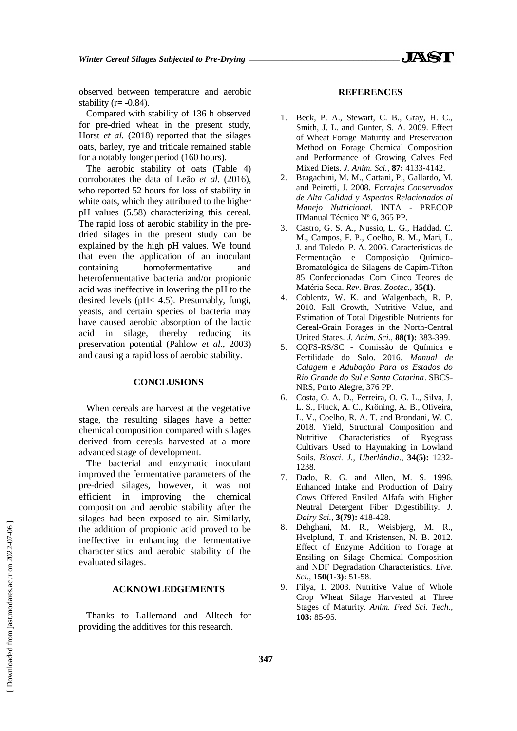observed between temperature and aerobic stability ( $r = -0.84$ ).

Compared with stability of 136 h observed for pre-dried wheat in the present study, Horst *et al.* (2018) reported that the silages oats, barley, rye and triticale remained stable for a notably longer period (160 hours).

The aerobic stability of oats (Table 4) corroborates the data of Leão *et al.* (2016), who reported 52 hours for loss of stability in white oats, which they attributed to the higher pH values (5.58) characterizing this cereal. The rapid loss of aerobic stability in the predried silages in the present study can be explained by the high pH values. We found that even the application of an inoculant containing homofermentative and heterofermentative bacteria and/or propionic acid was ineffective in lowering the pH to the desired levels (pH< 4.5). Presumably, fungi, yeasts, and certain species of bacteria may have caused aerobic absorption of the lactic acid in silage, thereby reducing its preservation potential (Pahlow *et al.*, 2003) and causing a rapid loss of aerobic stability.

#### **CONCLUSIONS**

When cereals are harvest at the vegetative stage, the resulting silages have a better chemical composition compared with silages derived from cereals harvested at a more advanced stage of development.

The bacterial and enzymatic inoculant improved the fermentative parameters of the pre-dried silages, however, it was not efficient in improving the chemical composition and aerobic stability after the silages had been exposed to air. Similarly, the addition of propionic acid proved to be ineffective in enhancing the fermentative characteristics and aerobic stability of the evaluated silages.

#### **ACKNOWLEDGEMENTS**

Thanks to Lallemand and Alltech for providing the additives for this research.

**347**

#### **REFERENCES**

- 1. Beck, P. A., Stewart, C. B., Gray, H. C., Smith, J. L. and Gunter, S. A. 2009. Effect of Wheat Forage Maturity and Preservation Method on Forage Chemical Composition and Performance of Growing Calves Fed Mixed Diets. *J. Anim. Sci.,* **87:** 4133-4142.
- 2. Bragachini, M. M., Cattani, P., Gallardo, M. and Peiretti, J. 2008*. Forrajes Conservados de Alta Calidad y Aspectos Relacionados al Manejo Nutricional*. INTA - PRECOP IIManual Técnico Nº 6, 365 PP.
- 3. Castro, G. S. A., Nussio, L. G., Haddad, C. M., Campos, F. P., Coelho, R. M., Mari, L. J. and Toledo, P. A. 2006. Características de Fermentação e Composição Químico-Bromatológica de Silagens de Capim-Tifton 85 Confeccionadas Com Cinco Teores de Matéria Seca. *Rev. Bras. Zootec.,* **35(1).**
- 4. Coblentz, W. K. and Walgenbach, R. P. 2010. Fall Growth, Nutritive Value, and Estimation of Total Digestible Nutrients for Cereal-Grain Forages in the North-Central United States. *J. Anim. Sci.,* **88(1):** 383-399.
- 5. CQFS-RS/SC Comissão de Química e Fertilidade do Solo. 2016. *Manual de Calagem e Adubação Para os Estados do Rio Grande do Sul e Santa Catarina*. SBCS-NRS, Porto Alegre, 376 PP.
- 6. Costa, O. A. D., Ferreira, O. G. L., Silva, J. L. S., Fluck, A. C., Kröning, A. B., Oliveira, L. V., Coelho, R. A. T. and Brondani, W. C. 2018. Yield, Structural Composition and Nutritive Characteristics of Ryegrass Cultivars Used to Haymaking in Lowland Soils. *Biosci. J., Uberlândia*., **34(5):** 1232- 1238.
- 7. Dado, R. G. and Allen, M. S. 1996. Enhanced Intake and Production of Dairy Cows Offered Ensiled Alfafa with Higher Neutral Detergent Fiber Digestibility. *J. Dairy Sci.,* **3(79):** 418-428.
- 8. Dehghani, M. R., Weisbjerg, M. R., Hvelplund, T. and Kristensen, N. B. 2012. Effect of Enzyme Addition to Forage at Ensiling on Silage Chemical Composition and NDF Degradation Characteristics. *Live. Sci.,* **150(1-3):** 51-58.
- 9. Filya, I. 2003. Nutritive Value of Whole Crop Wheat Silage Harvested at Three Stages of Maturity. *Anim. Feed Sci. Tech.,*  **103:** 85-95.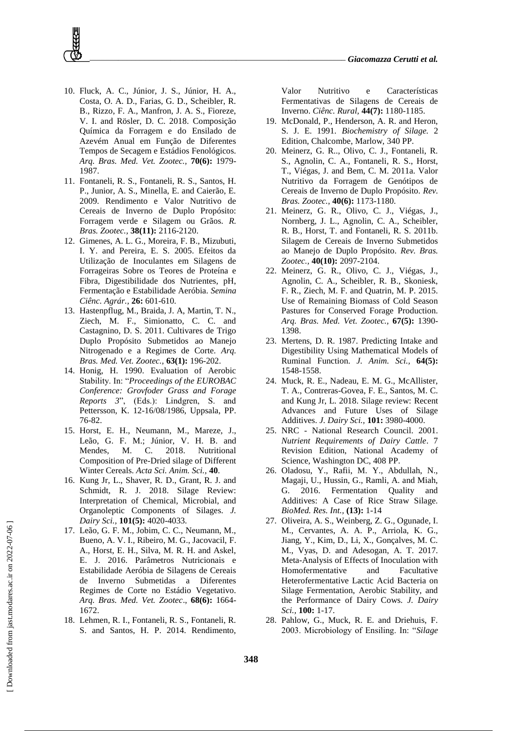- 10. Fluck, A. C., Júnior, J. S., Júnior, H. A., Costa, O. A. D., Farias, G. D., Scheibler, R. B., Rizzo, F. A., Manfron, J. A. S., Fioreze, V. I. and Rösler, D. C. 2018. Composição Química da Forragem e do Ensilado de Azevém Anual em Função de Diferentes Tempos de Secagem e Estádios Fenológicos. *Arq. Bras. Med. Vet. Zootec.,* **70(6):** 1979- 1987.
- 11. Fontaneli, R. S., Fontaneli, R. S., Santos, H. P., Junior, A. S., Minella, E. and Caierão, E. 2009. Rendimento e Valor Nutritivo de Cereais de Inverno de Duplo Propósito: Forragem verde e Silagem ou Grãos. *R. Bras. Zootec.,* **38(11):** 2116-2120.
- 12. Gimenes, A. L. G., Moreira, F. B., Mizubuti, I. Y. and Pereira, E. S. 2005. Efeitos da Utilização de Inoculantes em Silagens de Forrageiras Sobre os Teores de Proteína e Fibra, Digestibilidade dos Nutrientes, pH, Fermentação e Estabilidade Aeróbia. *Semina Ciênc. Agrár.,* **26:** 601-610.
- 13. Hastenpflug, M., Braida, J. A, Martin, T. N., Ziech, M. F., Simionatto, C. C. and Castagnino, D. S. 2011. Cultivares de Trigo Duplo Propósito Submetidos ao Manejo Nitrogenado e a Regimes de Corte. *Arq. Bras. Med. Vet. Zootec.,* **63(1):** 196-202.
- 14. Honig, H. 1990. Evaluation of Aerobic Stability. In: "*Proceedings of the EUROBAC Conference: Grovfoder Grass and Forage Reports 3*", (Eds.): Lindgren, S. and Pettersson, K. 12-16/08/1986, Uppsala, PP. 76-82.
- 15. Horst, E. H., Neumann, M., Mareze, J., Leão, G. F. M.; Júnior, V. H. B. and Mendes, M. C. 2018. Nutritional Composition of Pre-Dried silage of Different Winter Cereals. *Acta Sci. Anim. Sci.,* **40**.
- 16. Kung Jr, L., Shaver, R. D., Grant, R. J. and Schmidt, R. J. 2018. Silage Review: Interpretation of Chemical, Microbial, and Organoleptic Components of Silages. *J. Dairy Sci.,* **101(5):** 4020-4033.
- 17. Leão, G. F. M., Jobim, C. C., Neumann, M., Bueno, A. V. I., Ribeiro, M. G., Jacovacil, F. A., Horst, E. H., Silva, M. R. H. and Askel, E. J. 2016. Parâmetros Nutricionais e Estabilidade Aeróbia de Silagens de Cereais de Inverno Submetidas a Diferentes Regimes de Corte no Estádio Vegetativo. *Arq. Bras. Med. Vet. Zootec*., **68(6):** 1664- 1672.
- 18. Lehmen, R. I., Fontaneli, R. S., Fontaneli, R. S. and Santos, H. P. 2014. Rendimento,

Valor Nutritivo e Características Fermentativas de Silagens de Cereais de Inverno. *Ciênc. Rural,* **44(7):** 1180-1185.

- 19. McDonald, P., Henderson, A. R. and Heron, S. J. E. 1991. *Biochemistry of Silage.* 2 Edition, Chalcombe, Marlow, 340 PP.
- 20. Meinerz, G. R.., Olivo, C. J., Fontaneli, R. S., Agnolin, C. A., Fontaneli, R. S., Horst, T., Viégas, J. and Bem, C. M. 2011a. Valor Nutritivo da Forragem de Genótipos de Cereais de Inverno de Duplo Propósito. *Rev. Bras. Zootec.,* **40(6):** 1173-1180.
- 21. Meinerz, G. R., Olivo, C. J., Viégas, J., Nornberg, J. L., Agnolin, C. A., Scheibler, R. B., Horst, T. and Fontaneli, R. S. 2011b. Silagem de Cereais de Inverno Submetidos ao Manejo de Duplo Propósito. *Rev. Bras. Zootec.,* **40(10):** 2097-2104.
- 22. Meinerz, G. R., Olivo, C. J., Viégas, J., Agnolin, C. A., Scheibler, R. B., Skoniesk, F. R., Ziech, M. F. and Quatrin, M. P. 2015. Use of Remaining Biomass of Cold Season Pastures for Conserved Forage Production. *Arq. Bras. Med. Vet. Zootec.,* **67(5):** 1390- 1398.
- 23. Mertens, D. R. 1987. Predicting Intake and Digestibility Using Mathematical Models of Ruminal Function. *J. Anim. Sci.,* **64(5):** 1548-1558.
- 24. Muck, R. E., Nadeau, E. M. G., McAllister, T. A., Contreras-Govea, F. E., Santos, M. C. and Kung Jr, L. 2018. Silage review: Recent Advances and Future Uses of Silage Additives. *J. Dairy Sci.,* **101:** 3980-4000.
- 25. NRC National Research Council. 2001. *Nutrient Requirements of Dairy Cattle*. 7 Revision Edition, National Academy of Science, Washington DC, 408 PP.
- 26. Oladosu, Y., Rafii, M. Y., Abdullah, N., Magaji, U., Hussin, G., Ramli, A. and Miah, G. 2016. Fermentation Quality and Additives: A Case of Rice Straw Silage. *BioMed. Res. Int.,* **(13):** 1-14
- 27. Oliveira, A. S., Weinberg, Z. G., Ogunade, I. M., Cervantes, A. A. P., Arriola, K. G., Jiang, Y., Kim, D., Li, X., Gonçalves, M. C. M., Vyas, D. and Adesogan, A. T. 2017. Meta-Analysis of Effects of Inoculation with Homofermentative and Facultative Heterofermentative Lactic Acid Bacteria on Silage Fermentation, Aerobic Stability, and the Performance of Dairy Cows. *J. Dairy Sci.,* **100:** 1-17.
- 28. Pahlow, G., Muck, R. E. and Driehuis, F. 2003. Microbiology of Ensiling. In: "*Silage*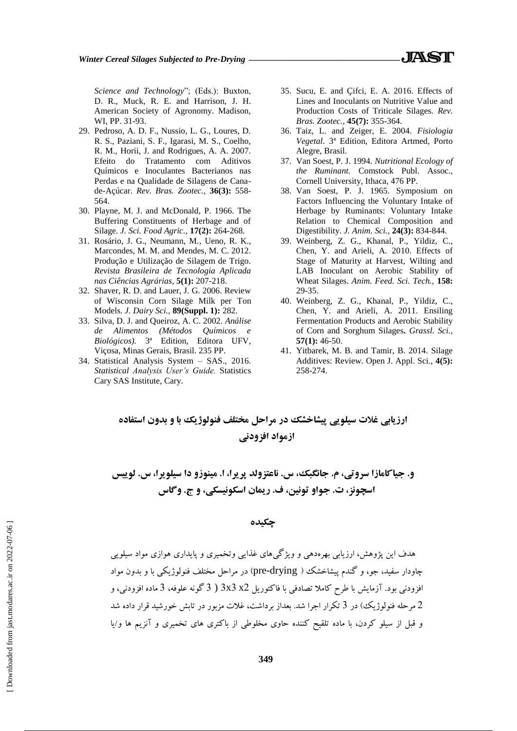*Science and Technology*"; (Eds.): Buxton, D. R., Muck, R. E. and Harrison, J. H. American Society of Agronomy. Madison, WI, PP. 31-93.

- 29. Pedroso, A. D. F., Nussio, L. G., Loures, D. R. S., Paziani, S. F., Igarasi, M. S., Coelho, R. M., Horii, J. and Rodrigues, A. A. 2007. Efeito do Tratamento com Aditivos Químicos e Inoculantes Bacterianos nas Perdas e na Qualidade de Silagens de Canade-Açúcar. *Rev. Bras. Zootec.,* **36(3):** 558- 564.
- 30. Playne, M. J. and McDonald, P. 1966. The Buffering Constituents of Herbage and of Silage. *J. Sci. Food Agric.,* **17(2):** 264-268.
- 31. Rosário, J. G., Neumann, M., Ueno, R. K., Marcondes, M. M. and Mendes, M. C. 2012. Produção e Utilização de Silagem de Trigo. *Revista Brasileira de Tecnologia Aplicada nas Ciências Agrárias*, **5(1):** 207-218.
- 32. Shaver, R. D. and Lauer, J. G. 2006. Review of Wisconsin Corn Silage Milk per Ton Models. *J. Dairy Sci.,* **89(Suppl. 1):** 282.
- 33. Silva, D. J. and Queiroz, A. C. 2002. *Análise de Alimentos (Métodos Químicos e Biológicos).* 3ª Edition, Editora UFV, Viçosa, Minas Gerais, Brasil. 235 PP.
- 34. Statistical Analysis System SAS., 2016. *Statistical Analysis User's Guide.* Statistics Cary SAS Institute, Cary.
- 35. Sucu, E. and Çifci, E. A. 2016. Effects of Lines and Inoculants on Nutritive Value and Production Costs of Triticale Silages. *Rev. Bras. Zootec.,* **45(7):** 355-364.
- 36. Taiz, L. and Zeiger, E. 2004. *Fisiologia Vegetal*. 3ª Edition, Editora Artmed, Porto Alegre, Brasil.
- 37. Van Soest, P. J. 1994. *Nutritional Ecology of the Ruminant.* Comstock Publ. Assoc., Cornell University, Ithaca, 476 PP.
- 38. Van Soest, P. J. 1965. Symposium on Factors Influencing the Voluntary Intake of Herbage by Ruminants: Voluntary Intake Relation to Chemical Composition and Digestibility. *J. Anim. Sci.,* **24(3):** 834-844.
- 39. Weinberg, Z. G., Khanal, P., Yildiz, C., Chen, Y. and Arieli, A. 2010. Effects of Stage of Maturity at Harvest, Wilting and LAB Inoculant on Aerobic Stability of Wheat Silages. *Anim. Feed. Sci. Tech.,* **158:** 29-35.
- 40. Weinberg, Z. G., Khanal, P., Yildiz, C., Chen, Y. and Arieli, A. 2011. Ensiling Fermentation Products and Aerobic Stability of Corn and Sorghum Silages**.** *Grassl. Sci.,* **57(1):** 46-50.
- 41. Yitbarek, M. B. and Tamir, B. 2014. Silage Additives: Review. Open J. Appl. Sci., **4(5):** 258-274.

**ارزیابی غلات سیلویی پیشاخشک در مراحل مختلف فنولوژیک با و بدون استفاده ازمواد افزودني** 

**و. جیاکامازا سروتی، م. جانگبک، س. ناعتزولد پریرا، ا. مینوزو دا سیلویرا، س. لوییس اسچونز، ت. جواو تونین، ف. ریمان اسکونیسکی، و ج. وگاس** 

**چکیذٌ**

هدف این پژوهش، ارزیابی بهرهدهی و ویژگیهای غذایی وتخمیری و پایداری هوازی مواد سیلویی چاودار سفید، جو، و گُندم پیشاخشک ( pre-drying) در مراحل مختلف فنولوژیکی با و بدون مواد افزودنی بود. آزمایش با طرح کاملا تصادفی با فاکتوریل 2x 3x3 ( 3 گونه علوفه، 3 ماده افزودنی، و 2 مرحله فنولوژیک) در 3 تکرار اجرا شد. بعداز برداشت، غلات مزبور در تایش خورشید قرار داده شد و قبل از سیلو کردن، با ماده تلقیح کننده حاوی مخلوطی از باکتری های تخمیری و آنزیم ها و/یا